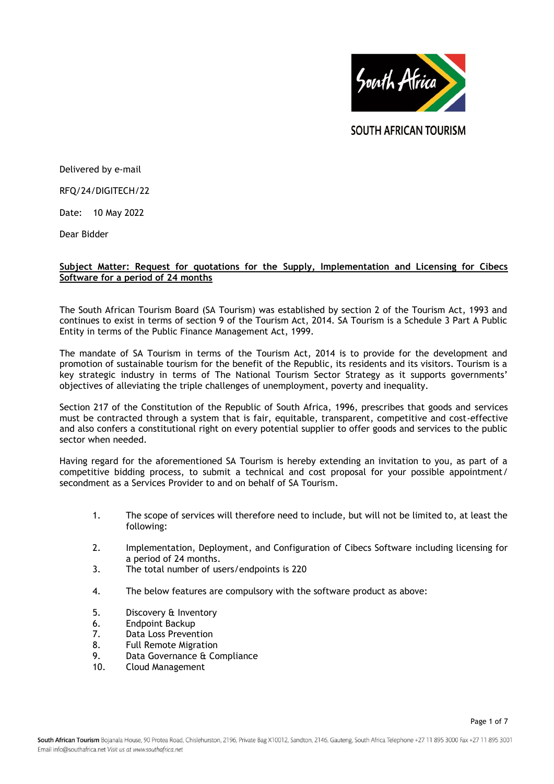

**SOUTH AFRICAN TOURISM** 

Delivered by e-mail

RFQ/24/DIGITECH/22

Date: 10 May 2022

Dear Bidder

# **Subject Matter: Request for quotations for the Supply, Implementation and Licensing for Cibecs Software for a period of 24 months**

The South African Tourism Board (SA Tourism) was established by section 2 of the Tourism Act, 1993 and continues to exist in terms of section 9 of the Tourism Act, 2014. SA Tourism is a Schedule 3 Part A Public Entity in terms of the Public Finance Management Act, 1999.

The mandate of SA Tourism in terms of the Tourism Act, 2014 is to provide for the development and promotion of sustainable tourism for the benefit of the Republic, its residents and its visitors. Tourism is a key strategic industry in terms of The National Tourism Sector Strategy as it supports governments' objectives of alleviating the triple challenges of unemployment, poverty and inequality.

Section 217 of the Constitution of the Republic of South Africa, 1996, prescribes that goods and services must be contracted through a system that is fair, equitable, transparent, competitive and cost-effective and also confers a constitutional right on every potential supplier to offer goods and services to the public sector when needed.

Having regard for the aforementioned SA Tourism is hereby extending an invitation to you, as part of a competitive bidding process, to submit a technical and cost proposal for your possible appointment/ secondment as a Services Provider to and on behalf of SA Tourism.

- 1. The scope of services will therefore need to include, but will not be limited to, at least the following:
- 2. Implementation, Deployment, and Configuration of Cibecs Software including licensing for a period of 24 months.
- 3. The total number of users/endpoints is 220
- 4. The below features are compulsory with the software product as above:
- 5. [Discovery & Inventory](https://cibecs.com/product/discovery-inventory/)
- 6. [Endpoint Backup](https://cibecs.com/product/endpoint-backup/)
- 7. [Data Loss Prevention](https://cibecs.com/product/data-loss-prevention/)
- 8. [Full Remote Migration](https://cibecs.com/product/remote-migration/)
- 9. [Data Governance](https://cibecs.com/product/data-governance-compliance/) & Compliance
- 10. [Cloud Management](https://cibecs.com/product/cloud-management/)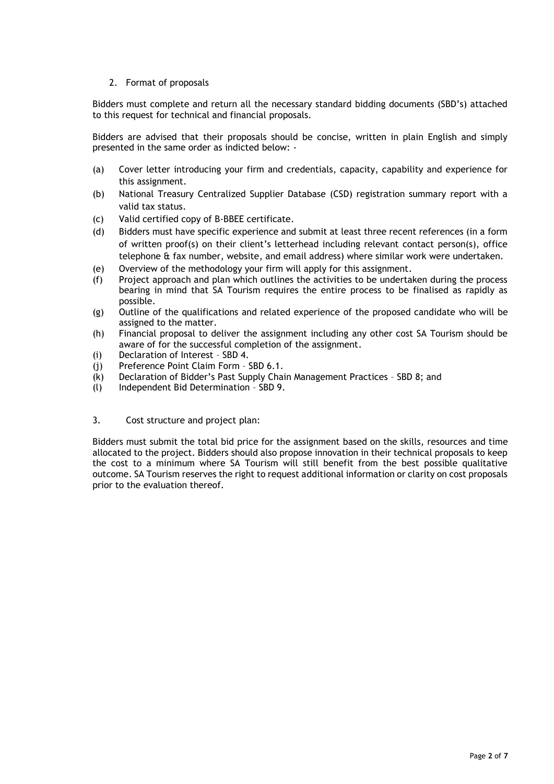# 2. Format of proposals

Bidders must complete and return all the necessary standard bidding documents (SBD's) attached to this request for technical and financial proposals.

Bidders are advised that their proposals should be concise, written in plain English and simply presented in the same order as indicted below: -

- (a) Cover letter introducing your firm and credentials, capacity, capability and experience for this assignment.
- (b) National Treasury Centralized Supplier Database (CSD) registration summary report with a valid tax status.
- (c) Valid certified copy of B-BBEE certificate.
- (d) Bidders must have specific experience and submit at least three recent references (in a form of written proof(s) on their client's letterhead including relevant contact person(s), office telephone & fax number, website, and email address) where similar work were undertaken.
- (e) Overview of the methodology your firm will apply for this assignment.
- (f) Project approach and plan which outlines the activities to be undertaken during the process bearing in mind that SA Tourism requires the entire process to be finalised as rapidly as possible.
- (g) Outline of the qualifications and related experience of the proposed candidate who will be assigned to the matter.
- (h) Financial proposal to deliver the assignment including any other cost SA Tourism should be aware of for the successful completion of the assignment.
- (i) Declaration of Interest SBD 4.
- (j) Preference Point Claim Form SBD 6.1.
- (k) Declaration of Bidder's Past Supply Chain Management Practices SBD 8; and
- (l) Independent Bid Determination SBD 9.
- 3. Cost structure and project plan:

Bidders must submit the total bid price for the assignment based on the skills, resources and time allocated to the project. Bidders should also propose innovation in their technical proposals to keep the cost to a minimum where SA Tourism will still benefit from the best possible qualitative outcome. SA Tourism reserves the right to request additional information or clarity on cost proposals prior to the evaluation thereof.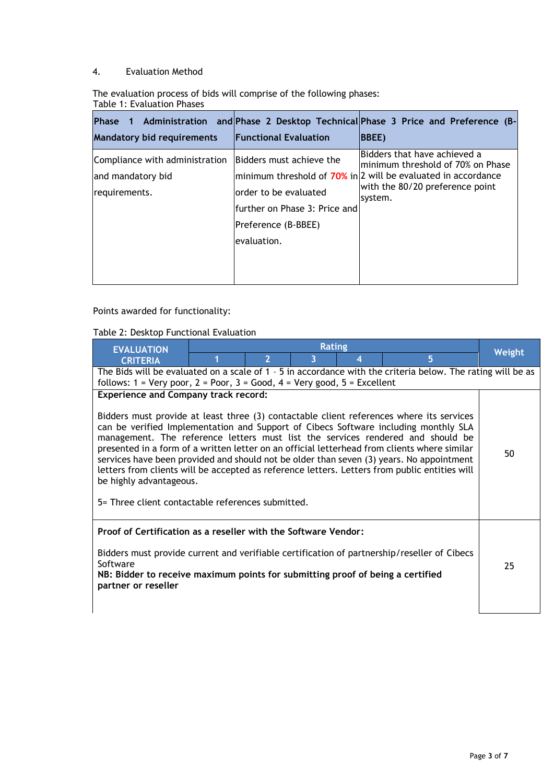# 4. Evaluation Method

The evaluation process of bids will comprise of the following phases: Table 1: Evaluation Phases

|                                   |                               | Phase 1 Administration and Phase 2 Desktop Technical Phase 3 Price and Preference (B- |
|-----------------------------------|-------------------------------|---------------------------------------------------------------------------------------|
| <b>Mandatory bid requirements</b> | <b>Functional Evaluation</b>  | <b>BBEE</b> )                                                                         |
| Compliance with administration    | Bidders must achieve the      | Bidders that have achieved a<br>minimum threshold of 70% on Phase                     |
| and mandatory bid                 |                               | minimum threshold of 70% in 2 will be evaluated in accordance                         |
| requirements.                     | order to be evaluated         | with the 80/20 preference point<br>system.                                            |
|                                   | further on Phase 3: Price and |                                                                                       |
|                                   | Preference (B-BBEE)           |                                                                                       |
|                                   | evaluation.                   |                                                                                       |
|                                   |                               |                                                                                       |
|                                   |                               |                                                                                       |

Points awarded for functionality:

# Table 2: Desktop Functional Evaluation

| <b>EVALUATION</b>                                                                                                                                                                                                                                                                                                                                                                                                                                                                                                                                                                                                                                     | <b>Rating</b>                               |                         | Weight |   |                                                                                             |    |
|-------------------------------------------------------------------------------------------------------------------------------------------------------------------------------------------------------------------------------------------------------------------------------------------------------------------------------------------------------------------------------------------------------------------------------------------------------------------------------------------------------------------------------------------------------------------------------------------------------------------------------------------------------|---------------------------------------------|-------------------------|--------|---|---------------------------------------------------------------------------------------------|----|
| <b>CRITERIA</b>                                                                                                                                                                                                                                                                                                                                                                                                                                                                                                                                                                                                                                       |                                             | $\overline{\mathbf{z}}$ | 3      | 4 | 5                                                                                           |    |
| The Bids will be evaluated on a scale of 1 - 5 in accordance with the criteria below. The rating will be as<br>follows: $1 = \text{Very poor}, 2 = \text{Poor}, 3 = \text{Good}, 4 = \text{Very good}, 5 = \text{Excellent}$                                                                                                                                                                                                                                                                                                                                                                                                                          |                                             |                         |        |   |                                                                                             |    |
|                                                                                                                                                                                                                                                                                                                                                                                                                                                                                                                                                                                                                                                       | <b>Experience and Company track record:</b> |                         |        |   |                                                                                             |    |
| Bidders must provide at least three (3) contactable client references where its services<br>can be verified Implementation and Support of Cibecs Software including monthly SLA<br>management. The reference letters must list the services rendered and should be<br>presented in a form of a written letter on an official letterhead from clients where similar<br>50<br>services have been provided and should not be older than seven (3) years. No appointment<br>letters from clients will be accepted as reference letters. Letters from public entities will<br>be highly advantageous.<br>5= Three client contactable references submitted. |                                             |                         |        |   |                                                                                             |    |
| Proof of Certification as a reseller with the Software Vendor:<br>Software<br>NB: Bidder to receive maximum points for submitting proof of being a certified<br>partner or reseller                                                                                                                                                                                                                                                                                                                                                                                                                                                                   |                                             |                         |        |   | Bidders must provide current and verifiable certification of partnership/reseller of Cibecs | 25 |
|                                                                                                                                                                                                                                                                                                                                                                                                                                                                                                                                                                                                                                                       |                                             |                         |        |   |                                                                                             |    |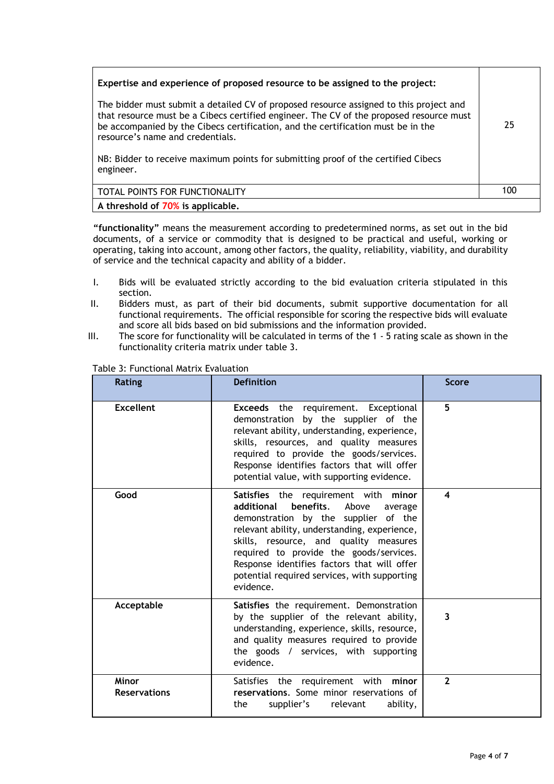| Expertise and experience of proposed resource to be assigned to the project:<br>The bidder must submit a detailed CV of proposed resource assigned to this project and<br>that resource must be a Cibecs certified engineer. The CV of the proposed resource must<br>be accompanied by the Cibecs certification, and the certification must be in the<br>resource's name and credentials.<br>NB: Bidder to receive maximum points for submitting proof of the certified Cibecs<br>engineer. | 25  |
|---------------------------------------------------------------------------------------------------------------------------------------------------------------------------------------------------------------------------------------------------------------------------------------------------------------------------------------------------------------------------------------------------------------------------------------------------------------------------------------------|-----|
| TOTAL POINTS FOR FUNCTIONALITY                                                                                                                                                                                                                                                                                                                                                                                                                                                              | 100 |
| A threshold of 70% is applicable.                                                                                                                                                                                                                                                                                                                                                                                                                                                           |     |

**"functionality"** means the measurement according to predetermined norms, as set out in the bid documents, of a service or commodity that is designed to be practical and useful, working or operating, taking into account, among other factors, the quality, reliability, viability, and durability of service and the technical capacity and ability of a bidder.

- I. Bids will be evaluated strictly according to the bid evaluation criteria stipulated in this section.
- II. Bidders must, as part of their bid documents, submit supportive documentation for all functional requirements. The official responsible for scoring the respective bids will evaluate and score all bids based on bid submissions and the information provided.
- III. The score for functionality will be calculated in terms of the 1 5 rating scale as shown in the functionality criteria matrix under table 3.

| <b>Rating</b>                | <b>Definition</b>                                                                                                                                                                                                                                                                                                                                                            | <b>Score</b>   |
|------------------------------|------------------------------------------------------------------------------------------------------------------------------------------------------------------------------------------------------------------------------------------------------------------------------------------------------------------------------------------------------------------------------|----------------|
| <b>Excellent</b>             | <b>Exceeds</b> the requirement. Exceptional<br>demonstration by the supplier of the<br>relevant ability, understanding, experience,<br>skills, resources, and quality measures<br>required to provide the goods/services.<br>Response identifies factors that will offer<br>potential value, with supporting evidence.                                                       | 5              |
| Good                         | Satisfies the requirement with minor<br>additional<br>benefits.<br>Above<br>average<br>demonstration by the supplier of the<br>relevant ability, understanding, experience,<br>skills, resource, and quality measures<br>required to provide the goods/services.<br>Response identifies factors that will offer<br>potential required services, with supporting<br>evidence. | 4              |
| Acceptable                   | Satisfies the requirement. Demonstration<br>by the supplier of the relevant ability,<br>understanding, experience, skills, resource,<br>and quality measures required to provide<br>the goods / services, with supporting<br>evidence.                                                                                                                                       | 3              |
| Minor<br><b>Reservations</b> | Satisfies the requirement with minor<br>reservations. Some minor reservations of<br>the<br>supplier's<br>relevant<br>ability,                                                                                                                                                                                                                                                | $\overline{2}$ |

### Table 3: Functional Matrix Evaluation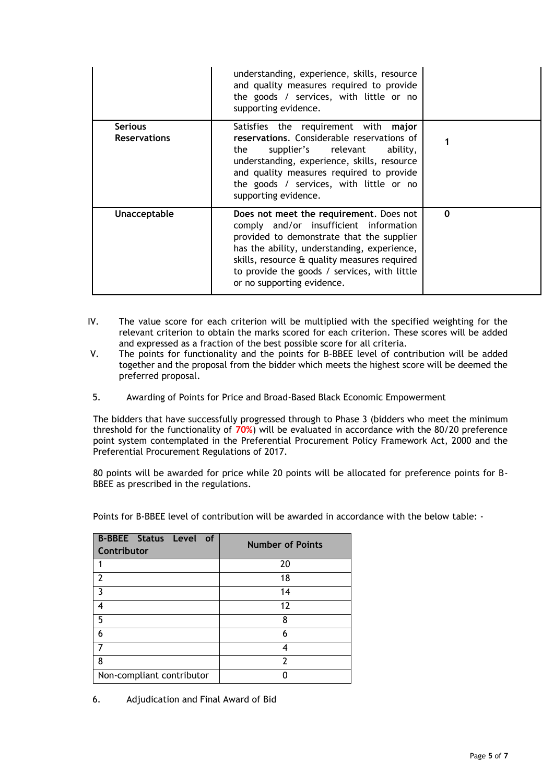|                                       | understanding, experience, skills, resource<br>and quality measures required to provide<br>the goods / services, with little or no<br>supporting evidence.                                                                                                                                                  |   |
|---------------------------------------|-------------------------------------------------------------------------------------------------------------------------------------------------------------------------------------------------------------------------------------------------------------------------------------------------------------|---|
| <b>Serious</b><br><b>Reservations</b> | Satisfies the requirement with major<br>reservations. Considerable reservations of<br>supplier's relevant<br>the<br>ability,<br>understanding, experience, skills, resource<br>and quality measures required to provide<br>the goods / services, with little or no<br>supporting evidence.                  |   |
| Unacceptable                          | Does not meet the requirement. Does not<br>comply and/or insufficient information<br>provided to demonstrate that the supplier<br>has the ability, understanding, experience,<br>skills, resource & quality measures required<br>to provide the goods / services, with little<br>or no supporting evidence. | 0 |

- IV. The value score for each criterion will be multiplied with the specified weighting for the relevant criterion to obtain the marks scored for each criterion. These scores will be added and expressed as a fraction of the best possible score for all criteria.
- V. The points for functionality and the points for B-BBEE level of contribution will be added together and the proposal from the bidder which meets the highest score will be deemed the preferred proposal.
- 5. Awarding of Points for Price and Broad-Based Black Economic Empowerment

The bidders that have successfully progressed through to Phase 3 (bidders who meet the minimum threshold for the functionality of **70%**) will be evaluated in accordance with the 80/20 preference point system contemplated in the Preferential Procurement Policy Framework Act, 2000 and the Preferential Procurement Regulations of 2017.

80 points will be awarded for price while 20 points will be allocated for preference points for B-BBEE as prescribed in the regulations.

| <b>B-BBEE Status Level of</b><br>Contributor | <b>Number of Points</b> |
|----------------------------------------------|-------------------------|
|                                              | 20                      |
| $\mathcal{P}$                                | 18                      |
| 3                                            | 14                      |
| 4                                            | 12                      |
| 5                                            | 8                       |
| 6                                            | 6                       |
|                                              |                         |
| 8                                            | 7                       |
| Non-compliant contributor                    |                         |

Points for B-BBEE level of contribution will be awarded in accordance with the below table: -

6. Adjudication and Final Award of Bid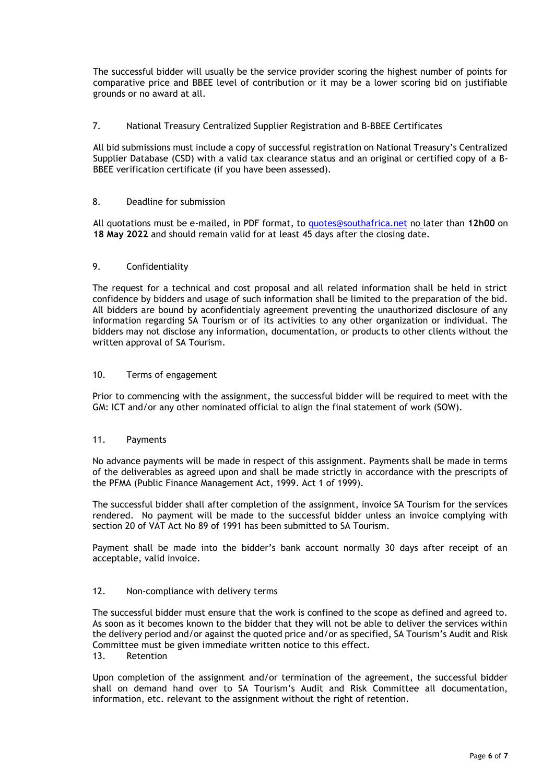The successful bidder will usually be the service provider scoring the highest number of points for comparative price and BBEE level of contribution or it may be a lower scoring bid on justifiable grounds or no award at all.

# 7. National Treasury Centralized Supplier Registration and B-BBEE Certificates

All bid submissions must include a copy of successful registration on National Treasury's Centralized Supplier Database (CSD) with a valid tax clearance status and an original or certified copy of a B-BBEE verification certificate (if you have been assessed).

# 8. Deadline for submission

All quotations must be e-mailed, in PDF format, to [quotes@southafrica.net](mailto:quotes@southafrica.net) no later than **12h00** on **18 May 2022** and should remain valid for at least 45 days after the closing date.

# 9. Confidentiality

The request for a technical and cost proposal and all related information shall be held in strict confidence by bidders and usage of such information shall be limited to the preparation of the bid. All bidders are bound by aconfidentialy agreement preventing the unauthorized disclosure of any information regarding SA Tourism or of its activities to any other organization or individual. The bidders may not disclose any information, documentation, or products to other clients without the written approval of SA Tourism.

## 10. Terms of engagement

Prior to commencing with the assignment, the successful bidder will be required to meet with the GM: ICT and/or any other nominated official to align the final statement of work (SOW).

### 11. Payments

No advance payments will be made in respect of this assignment. Payments shall be made in terms of the deliverables as agreed upon and shall be made strictly in accordance with the prescripts of the PFMA (Public Finance Management Act, 1999. Act 1 of 1999).

The successful bidder shall after completion of the assignment, invoice SA Tourism for the services rendered. No payment will be made to the successful bidder unless an invoice complying with section 20 of VAT Act No 89 of 1991 has been submitted to SA Tourism.

Payment shall be made into the bidder's bank account normally 30 days after receipt of an acceptable, valid invoice.

### 12. Non-compliance with delivery terms

The successful bidder must ensure that the work is confined to the scope as defined and agreed to. As soon as it becomes known to the bidder that they will not be able to deliver the services within the delivery period and/or against the quoted price and/or as specified, SA Tourism's Audit and Risk Committee must be given immediate written notice to this effect.

## 13. Retention

Upon completion of the assignment and/or termination of the agreement, the successful bidder shall on demand hand over to SA Tourism's Audit and Risk Committee all documentation, information, etc. relevant to the assignment without the right of retention.